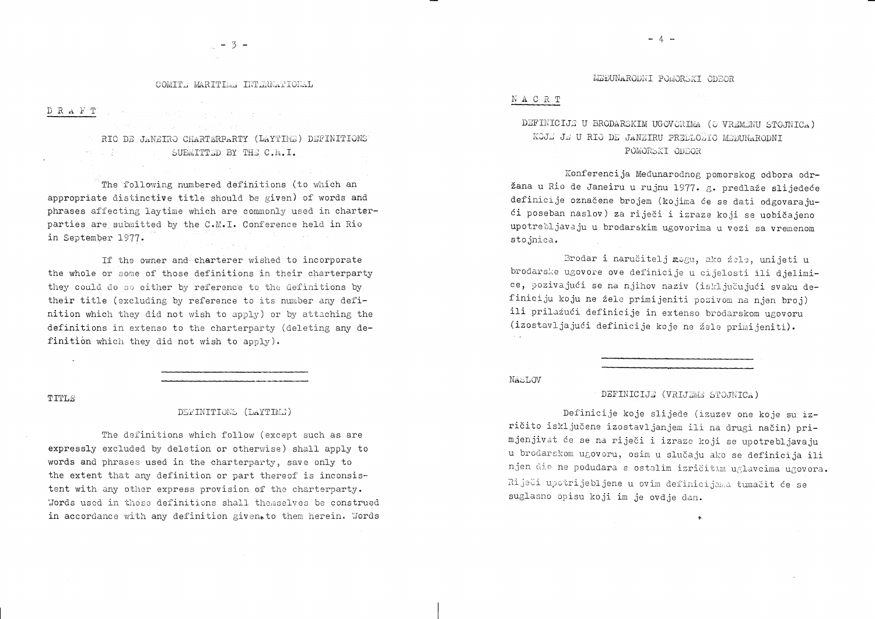## COMITE MARITIME INTERNATIONAL

 $D \ R \ A \ F \ T$ 

RIO DE JANEIRO CHARTERPARTY (LAYTIME) DEFINITIONS SUBMITTED BY THE C.M.I.  $\label{eq:4} \mathcal{L}=\left\{ \begin{array}{ll} \mathcal{L}_{\mathcal{M}}(\mathcal{L}_{\mathcal{M}}) & \mathcal{L}_{\mathcal{M}}(\mathcal{L}_{\mathcal{M}}) \\ \mathcal{L}_{\mathcal{M}}(\mathcal{L}_{\mathcal{M}}) & \mathcal{L}_{\mathcal{M}}(\mathcal{L}_{\mathcal{M}}) \end{array} \right.$ 

**1. 医肠内侧肌 医肠腔炎 医心脏** 

The following numbered definitions (to which an appropriate distinctive title should be given) of words and phrases affecting laytime which are commonly used in charterparties are submitted by the C.M.I. Conference held in Rio in September 1977.

If the owner and charterer wished to incorporate the whole or some of those definitions in their charterparty they could do so either by reference to the definitions by their title (excluding by reference to its number any definition which they did not wish to apply) or by attaching the definitions in extenso to the charterparty (deleting any definition which they did not wish to apply).

TITLE

## DEFINITIONS (LAYTIME)

The definitions which follow (except such as are expressly excluded by deletion or otherwise) shall apply to words and phrases used in the charterparty, save only to the extent that any definition or part thereof is inconsistent with any other express provision of the charterparty. Words used in these definitions shall themselves be construed in accordance with any definition givento them herein. Words

## NACRT

DEFINICIJE U BRODARSKIM UGOVORIMA (O VREMENU STOJNICA) KOJE JE U RIO DE JANEIRU PREDLOŽIO MEĐUNARODNI POMORSKI ODBOR

Konferencija Međunarodnog pomorskog odbora odr-

žana u Rio de Janeiru u rujnu 1977. g. predlaže slijedeće definicije označene brojem (kojima će se dati odgovarajući poseban naslov) za riječi i izraze koji se uobičajeno upotrebljavaju u brodarskim ugovorima u vezi sa vremenom stojnica.

Brodar i naručitelj mogu, ako žele, unijeti u brodarske ugovore ove definicije u cijelosti ili djelimice, pozivajući se na njihov naziv (isključujući svaku definiciju koju ne žele primijeniti pozivom na njen broj) ili prilažući definicije in extenso brodarskom ugovoru (izostavljajući definicije koje ne žele primijeniti).

NASLOV

Definicije koje slijede (izuzev one koje su izričito isključene izostavljanjem ili na drugi način) primjenjivat će se na riječi i izraze koji se upotrebljavaju u brodarskom ugovoru, osim u slučaju ako se definicija ili njen dio ne podudara s ostalim izričitim uglavcima ugovora. Riječi upotrijebljene u ovim definicijama tumačit će se suglasno opisu koji im je ovdje dan.

 $\sim 10^{-1}$ 

 $-4 -$ 

MEĐUNARODNI POMORSKI ODBOR

DEFINICIJE (VRIJEME STOJNICA)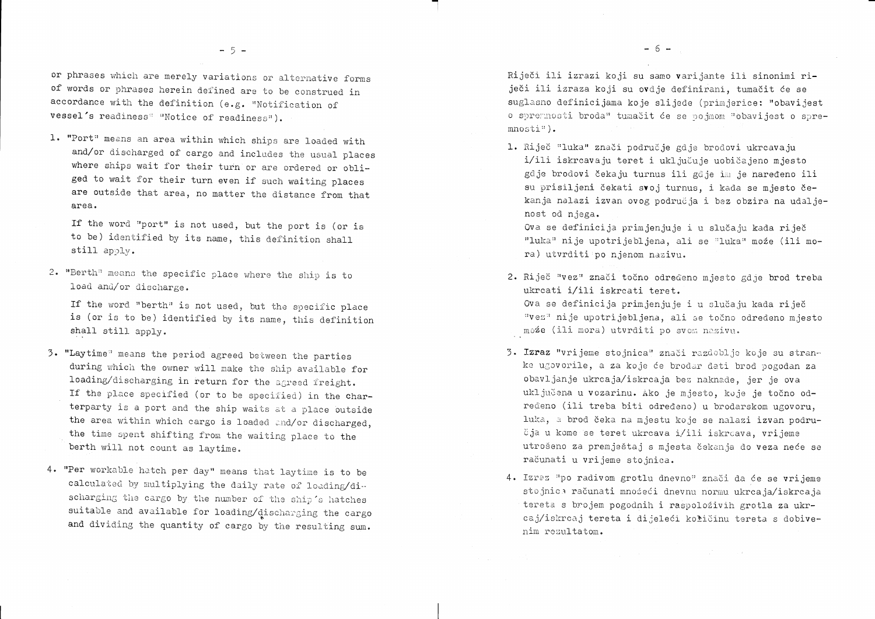'"]

Ova se definicija primjenjuje i u slučaju kada riječ "luka" ni je upotri je bl jena, ali se "luka" može (ili mora) utvrditi po njenom nazivu.

- 2. Riječ "vez" znači točno određeno mjesto gdje brod treba ukrcati i/ili iskrcati teret. može (ili mora) utvrditi po svom nazivu.
- obavljanje ukrcaja/iskrcaja bez naknade, jer je ova čja u kome se teret ukrcava i/ili iskrcava, vrijeme računati u vrijeme stojnica.
- 4. Izraz "po radivom grotlu dnevno" znači da će se vrijeme nim rezultatom.

i/ili iskrcavaju teret i uključuje uobičajeno mjesto gdje brodovi čekaju turnus ili gdje im je naređeno ili su prisiljeni čekati svoj turnus, i kada se mjesto čekanja nalazi izvan ovog područja i bez obzira na udalje-

Ova se definicija primjenjuje i u slučaju kada riječ "vez" nije upotrijebljena, ali se točno određeno mjesto

3. Izraz "vrijeme stojnica" znači razdoblje koje su stranke ugovorile, a za koje će brodar dati brod pogodan za uključena u vozarinu. Ako je mjesto, koje je točno određeno (ili treba biti određeno) u brodarskom ugovoru, luka, a brod čeka na mjestu koje se nalazi izvan podruutrošeno za premještaj s mjesta čekanja do veza neće se

sto jnica računati množeći dnevnu normu ukrca ja/iskrca ja tereta s brojem pogodnih i raspoloživih grotla za ukrcaj/iskrcaj tereta i dijeleći količinu tereta s dobive-

or phrases which are merely variations or alternative forms of words or phrases herein defined are to be construed in accordance with the definition (e.g. "Notification of vessel's readiness<sup>«</sup> "Notice of readiness").

1. "Port" means an area within which ships are loaded with and/or discharged of cargo and includes the usual places where ships wait for their turn or are ordered or obliged to wait for their turn even if such waiting places are outside that area, no matter the distance from that area.

If the word "port" is not used, but the port is (or is to be) identified by its name, this definition shall still  $apoly$ .

2. "Berth" means the specific place where the ship is to load and/or discharge.

If the word "berth" is not used, but the specific place is (or is to be) identified by its name, this definition shall still apply.

- 3. "Laytime" means the period agreed between the parties during which the owner will make the ship available for loading/discharging in return for the agreed freight. If the place specified (or to be specified) in the charterparty is a port and the ship waits at a place outside the area within which cargo is loaded and/or discharged, the time spent shifting from the waiting place to the berth will not count as laytime.
- 4. "Per workable hatch per day" means that laytime is to be calculated by multiplying the daily rate of loading/discharging the cargo by the number of the ship's hatches suitable and available for loading/discharging the cargo and dividing the quantity of cargo by the resulting sum.

Riječi ili izrazi koji su samo varijante ili sinonimi riječi ili izraza koji su ovdje definirani, tumačit će se  ${\tt suglasno}$  definicijama koje slijede (primjerice: "obavijest o spremnosti broda" tumačit će se pojmom "obavijest o spre- ${\tt mnosti}$ ").

1. Riječ "luka" znači područje gdje brodovi ukrcavaju nost ocl njega.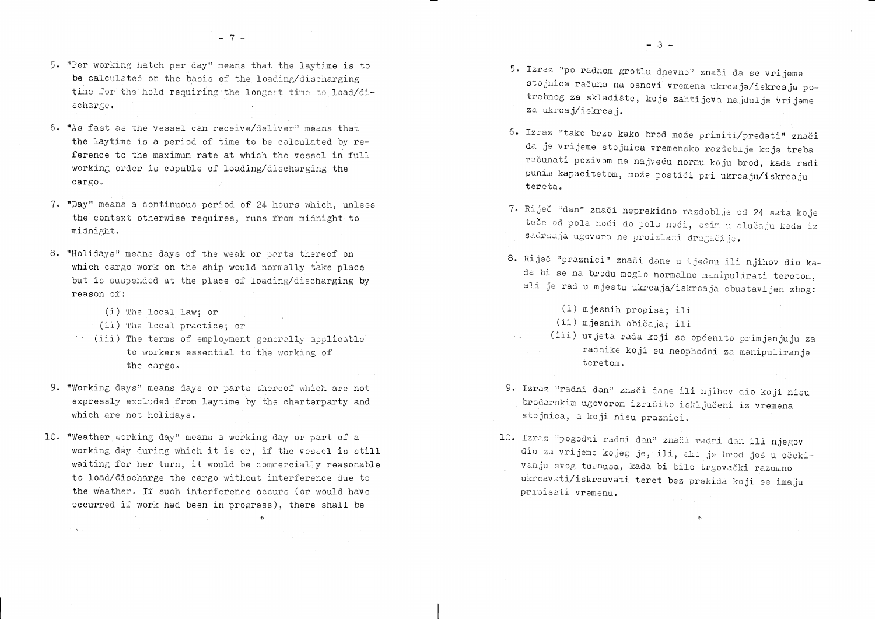5. "Per working hatch per day" means that the laytime is to be calculated on the basis of the loading/discharging time for the hold requiring the longest time to load/discharge.

 $-7-$ 

- 6. "As fast as the vessel can receive/deliver" means that the laytime is a period of time to be calculated by reference to the maximum rate at which the vessel in full working order is capable of loading/discharging the cargo.
- 7. "Day" means a continuous period of 24 hours which, unless the context otherwise requires, runs from midnight to midnight.
- 8. "Holidays" means days of the weak or parts thereof on which cargo work on the ship would normally take place but is suspended at the place of loading/discharging by reason of:
	- (i) The local law; or

 $\chi$ 

- (ii) The local practice; or
- (iii) The terms of employment generally applicable to workers essential to the working of the cargo.
- 9. "Working days" means days or parts thereof which are not expressly excluded from laytime by the charterparty and which are not holidays.
- 10. "Weather working day" means a working day or part of a working day during which it is or, if the vessel is still waiting for her turn, it would be commercially reasonable to load/discharge the cargo without interference due to the weather. If such interference occurs (or would have occurred if work had been in progress), there shall be

 $\bullet$ 

- 5. Izraz "po radnom grotlu dnevno" znači da se vrijeme za ukrcaj/iskrcaj.
- 6. Izraz "tako brzo kako brod moźe primiti/predati" znači tereta.
- 7. Riječ "dan" znači neprekidno razdoblje od 24 sata koje sadriaja ugovora ne proizlazi drugačije.
- 8. Riječ "praznici" znači dane u tjednu ili njihov dio ka-
	- (i) mjesnih propisa; ili
	- (ii) mjesnih običaja; ili
- $\sim 10$ teretom.
- 9. Izraz "radni dan" znači dane ili njihov dio koji nisu brodarskim ugovorom izričito isključeni iz vremena stojnica, a koji nisu praznici.
- 10. Izraz "pogodni radni dan" znači radni dan ili njegov vanju svog turnusa, kada bi bilo trgovački razumno ukrcavati/iskrcavati teret bez prekida koji se imaju pripisati vremenu.

stojnica računa na osnovi vremena ukrcaja/iskrcaja potrebnog za skladište, koje zahtijeva najdulje vrijeme

da je vrijeme stojnica vremensko razdoblje koje treba računati pozivom na najveću normu koju brod, kada radi punim kapacitetom, može postići pri ukrcaju/iskrcaju

teče od pola noći do pola noći, osim u slučaju kada iz

da bi se na brodu moglo normalno manipulirati teretom, ali je rad u mjestu ukrcaja/iskrcaja obustavljen zbog:

 $-3 -$ 

(iii) uvjeta rada koji se općenito primjenjuju za radnike koji su neophodni za manipuliranje

dio za vrijeme kojeg je, ili, ako je brod još u očeki-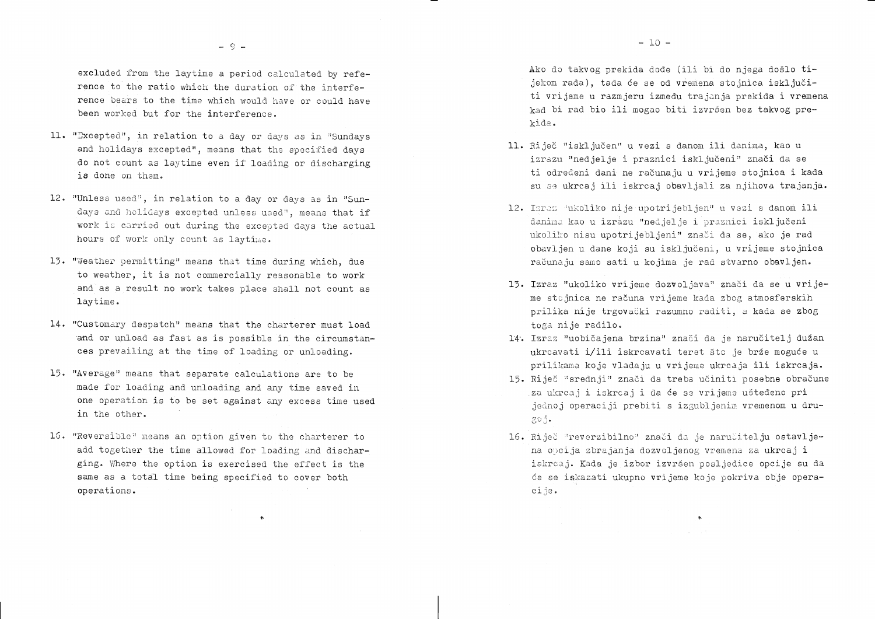excluded from the laytime a period calculated by reference to the ratio which the duration of the interference bears to the time which would have or could have been worked but for the interference.

- 11. "Excepted", in relation to a day or days as in "Sundays and holidays excepted", means that the specified days do not count as laytime even if loading or discharging is done on them.
- 12. "Unless used", in relation to a day or days as in "Sundays and holidays excepted unless used", means that if work is carried out during the excepted days the actual hours of work only count as laytime.
- 13. "Weather permitting" means that time during which, due to weather, it is not commercially reasonable to work and as a result no work takes place shall not count as laytime.
- 14. "Customary despatch" means that the charterer must load and or unload as fast as is possible in the circumstances prevailing at the time of loading or unloading.
- 15. "Average" means that separate calculations are to be made for loading and unloading and any time saved in one operation is to be set against any excess time used in the other.
- 16. "Reversible" means an option given to the charterer to add together the time allowed for loading and discharging. Where the option is exercised the effect is the same as a total time being specified to cover both operations.

 $\bullet$ 

Ako do takvog prekida dođe (ili bi do njega došlo tijekom rada), tada će se od vremena stojnica isključiti vrijeme u razmjeru između trajanja prekida i vremena kad bi rad bio ili mogao biti izvršen bez takvog prekida.

- 11. Riječ "isključen" u vezi s danom ili danima, kao u
- 
- toga nije radilo.
- 
- goj.
- cije.

izrazu "nedjelje i praznici isključeni" znači da se ti određeni dani ne računaju u vrijeme stojnica i kada su se ukrcaj ili iskrcaj obavljali za njihova trajanja.

12. Israz jukoliko nije upotrijebljen" u vezi s danom ili danima kao u izrazu "nedjelje i praznici isključeni ukoliko nisu upotrijebljeni" znači da se, ako je rad obavljen u dane koji su isključeni, u vrijeme stojnica računaju samo sati u kojima je rad stvarno obavljen.

13. Izraz "ukoliko vrijeme dozvoljava" znači da se u vrijeme stojnica ne računa vrijeme kada zbog atmosferskih prilika nije trgovački razumno raditi, a kada se zbog

14. Izraz "uobičajena brzina" znači da je naručitelj dužan ukrcavati i/ili iskrcavati teret što je brže moguće u prilikama koje vladaju u vrijeme ukrcaja ili iskrcaja. 15. Riječ "srednji" znači da treba učiniti posebne obračune za ukrcaj i iskrcaj i da će se vrijeme ušteđeno pri jednoj operaciji prebiti s izgubljenim vremenom u dru-

16. Riječ "reverzibilno" znači da je naručitelju ostavljena opcija zbrajanja dozvoljenog vremena za ukrcaj i iskrcaj. Kada je izbor izvršen posljedice opcije su da će se iskazati ukupno vrijeme koje pokriva obje opera-

 $\ddot{\mathbf{c}}$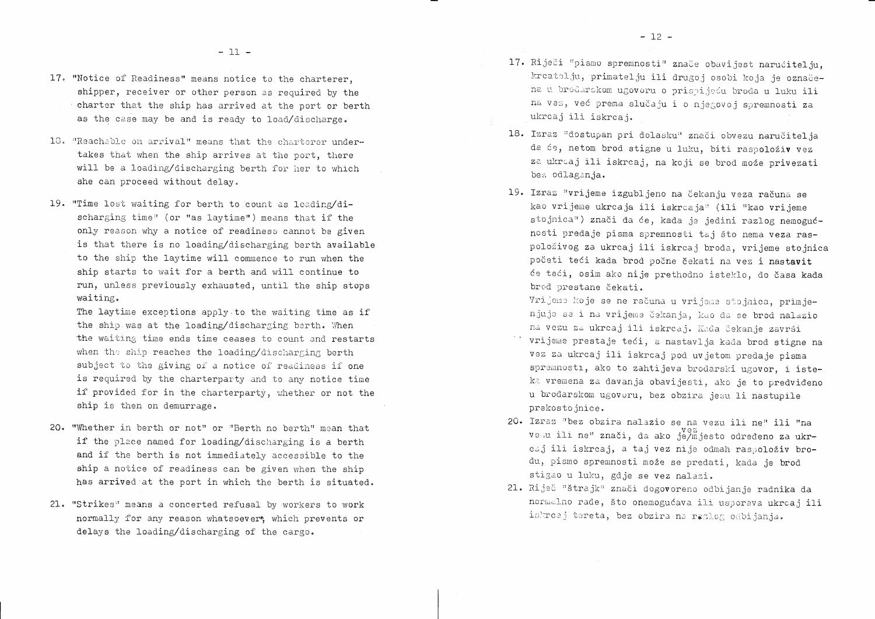- 17. "Notice of Readiness" means notice to the charterer. shipper, receiver or other person as required by the charter that the ship has arrived at the port or berth as the case may be and is ready to load/discharge.
- 18. "Reachable on arrival" means that the charterer undertakes that when the ship arrives at the port, there will be a loading/discharging berth for her to which she can proceed without delay.
- 19. "Time lost waiting for berth to count as loading/discharging time" (or "as laytime") means that if the only reason why a notice of readiness cannot be given is that there is no loading/discharging berth available to the ship the laytime will commence to run when the ship starts to wait for a berth and will continue to run, unless previously exhausted, until the ship stops waiting.

The laytime exceptions apply to the waiting time as if the ship was at the loading/discharging berth. When the waiting time ends time ceases to count and restarts when the ship reaches the loading/discharging berth subject to the giving of a notice of readiness if one is required by the charterparty and to any notice time if provided for in the charterparty, whether or not the ship is then on demurrage.

- 20. "Whether in berth or not" or "Berth no berth" mean that if the place named for loading/discharging is a berth and if the berth is not immediately accessible to the ship a notice of readiness can be given when the ship has arrived at the port in which the berth is situated.
- 21. "Strikes" means a concerted refusal by workers to work normally for any reason whatsoever, which prevents or delays the loading/discharging of the cargo.
- 17. Riječi "pismo spremnosti" znače obavijest naručitelju, ukrcaj ili iskrcaj.
- 18. Izraz "dostupan pri dolasku" znači obvezu naručitelja bez odlaganja.
- 19. Izraz "vrijeme izgubljeno na čekanju veza računa se brod prestane čekati. Vrijeme koje se ne računa u vrijeme stojnica, primjeprekostojnice.
- 20. Izraz "bez obzira nalazio se na vezu ili ne" ili "na stigao u luku, gdje se vez nalazi.
- 21. Riječ "štrajk" znači dogovoreno odbijanje radnika da istreaj tereta, bez obzira na razlog odbijanja.

kreatelju, primatelju ili drugoj osobi koja je označena u brodarskom ugovoru o prispijeću broda u luku ili na vez, već prema slučaju i o njegovoj spremnosti za

da će, netom brod stigne u luku, biti raspoloživ vez za ukrcaj ili iskrcaj, na koji se brod može privezati

kao vrijeme ukrcaja ili iskrcaja" (ili "kao vrijeme stojnica") znači da će, kada je jedini razlog nemogućnosti predaje pisma spremnosti taj što nema veza raspoloživog za ukrcaj ili iskrcaj broda, vrijeme stojnica početi teći kada brod počne čekati na vez i nastavit će teći, osim ako nije prethodno isteklo, do časa kada

njuje se i na vrijeme čekanja, kao da se brod nalazio na vezu za ukrcaj ili iskrcaj. Kada čekanje završi vrijeme prestaje teći, a nastavlja kada brod stigne na vez za ukrcaj ili iskrcaj pod uvjetom predaje pisma spremnosti, ako to zahtijeva brodarski ugovor, i isteka vremena za davanja obavijesti, ako je to predviđeno u brodarskom ugovoru, bez obzira jesu li nastupile

vezu ili ne" znači, da ako je/mjesto određeno za ukrcaj ili iskrcaj, a taj vez nije odmah raspoloživ brodu, pismo spremnosti može se predati, kada je brod normalno rade, što onemogućava ili usporava ukrcaj ili